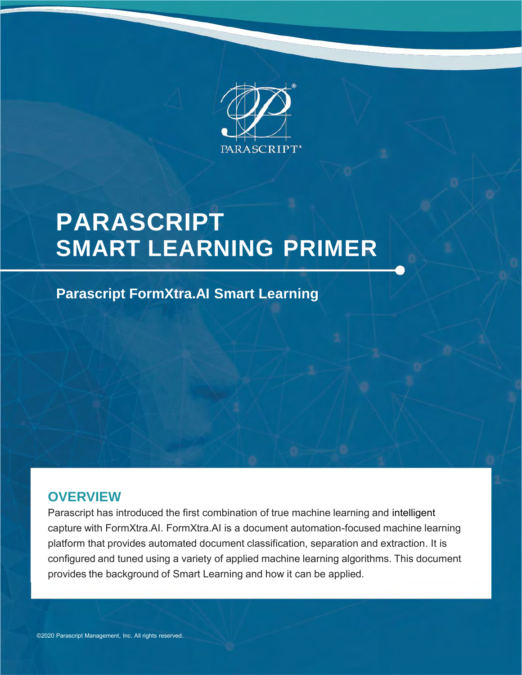

# **PARASCRIPT SMART LEARNING PRIMER**

### **Parascript FormXtra.AI Smart Learning**

### **OVERVIEW**

Parascript has introduced the first combination of true machine learning and intelligent capture with FormXtra.AI. FormXtra.AI is a document automation-focused machine learning platform that provides automated document classification, separation and extraction. It is configured and tuned using a variety of applied machine learning algorithms. This document provides the background of Smart Learning and how it can be applied.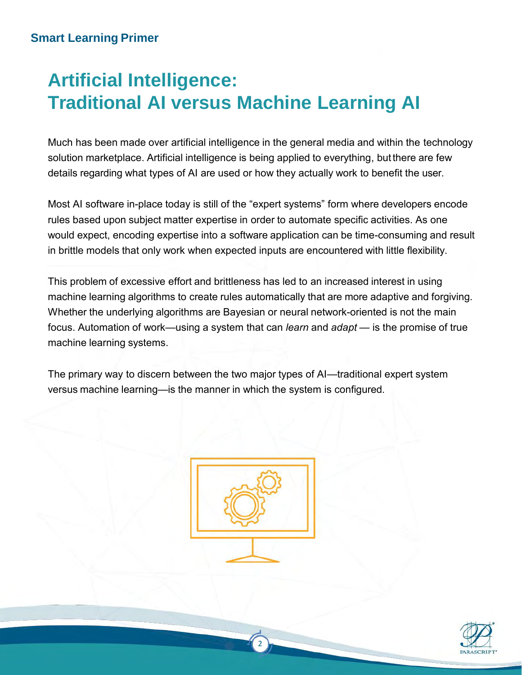## **Artificial Intelligence: Traditional AI versus Machine Learning AI**

Much has been made over artificial intelligence in the general media and within the technology solution marketplace. Artificial intelligence is being applied to everything, butthere are few details regarding what types of AI are used or how they actually work to benefit the user.

Most AI software in-place today is still of the "expert systems" form where developers encode rules based upon subject matter expertise in order to automate specific activities. As one would expect, encoding expertise into a software application can be time-consuming and result in brittle models that only work when expected inputs are encountered with little flexibility.

This problem of excessive effort and brittleness has led to an increased interest in using machine learning algorithms to create rules automatically that are more adaptive and forgiving. Whether the underlying algorithms are Bayesian or neural network-oriented is not the main focus. Automation of work—using a system that can *learn* and *adapt* — is the promise of true machine learning systems.

The primary way to discern between the two major types of AI—traditional expert system versus machine learning—is the manner in which the system is configured.



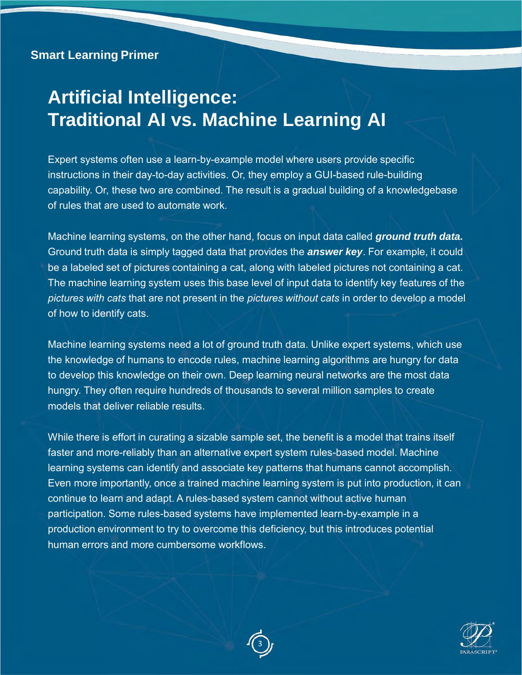## **Artificial Intelligence: Traditional AI vs. Machine Learning AI**

Expert systems often use a learn-by-example model where users provide specific instructions in their day-to-day activities. Or, they employ a GUI-based rule-building capability. Or, these two are combined. The result is a gradual building of a knowledgebase of rules that are used to automate work.

Machine learning systems, on the other hand, focus on input data called *ground truth data.* Ground truth data is simply tagged data that provides the *answer key*. For example, it could be a labeled set of pictures containing a cat, along with labeled pictures not containing a cat. The machine learning system uses this base level of input data to identify key features of the *pictures with cats* that are not present in the *pictures without cats* in order to develop a model of how to identify cats.

Machine learning systems need a lot of ground truth data. Unlike expert systems, which use the knowledge of humans to encode rules, machine learning algorithms are hungry for data to develop this knowledge on their own. Deep learning neural networks are the most data hungry. They often require hundreds of thousands to several million samples to create models that deliver reliable results.

While there is effort in curating a sizable sample set, the benefit is a model that trains itself faster and more-reliably than an alternative expert system rules-based model. Machine learning systems can identify and associate key patterns that humans cannot accomplish. Even more importantly, once a trained machine learning system is put into production, it can continue to learn and adapt. A rules-based system cannot without active human participation. Some rules-based systems have implemented learn-by-example in a production environment to try to overcome this deficiency, but this introduces potential human errors and more cumbersome workflows.



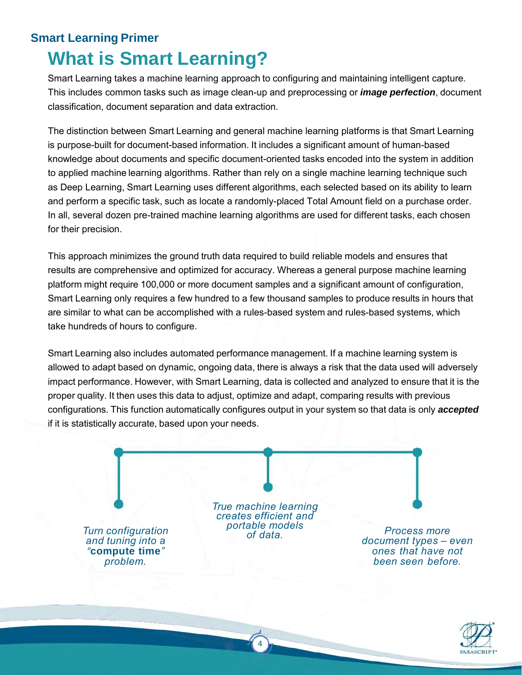### **What is Smart Learning? Smart Learning Primer**

Smart Learning takes a machine learning approach to configuring and maintaining intelligent capture. This includes common tasks such as image clean-up and preprocessing or *image perfection*, document classification, document separation and data extraction.

The distinction between Smart Learning and general machine learning platforms is that Smart Learning is purpose-built for document-based information. It includes a significant amount of human-based knowledge about documents and specific document-oriented tasks encoded into the system in addition to applied machine learning algorithms. Rather than rely on a single machine learning technique such as Deep Learning, Smart Learning uses different algorithms, each selected based on its ability to learn and perform a specific task, such as locate a randomly-placed Total Amount field on a purchase order. In all, several dozen pre-trained machine learning algorithms are used for different tasks, each chosen for their precision.

This approach minimizes the ground truth data required to build reliable models and ensures that results are comprehensive and optimized for accuracy. Whereas a general purpose machine learning platform might require 100,000 or more document samples and a significant amount of configuration, Smart Learning only requires a few hundred to a few thousand samples to produce results in hours that are similar to what can be accomplished with a rules-based system and rules-based systems, which take hundreds of hours to configure.

Smart Learning also includes automated performance management. If a machine learning system is allowed to adapt based on dynamic, ongoing data, there is always a risk that the data used will adversely impact performance. However, with Smart Learning, data is collected and analyzed to ensure that it is the proper quality. It then uses this data to adjust, optimize and adapt, comparing results with previous configurations. This function automatically configures output in your system so that data is only *accepted* if it is statistically accurate, based upon your needs.



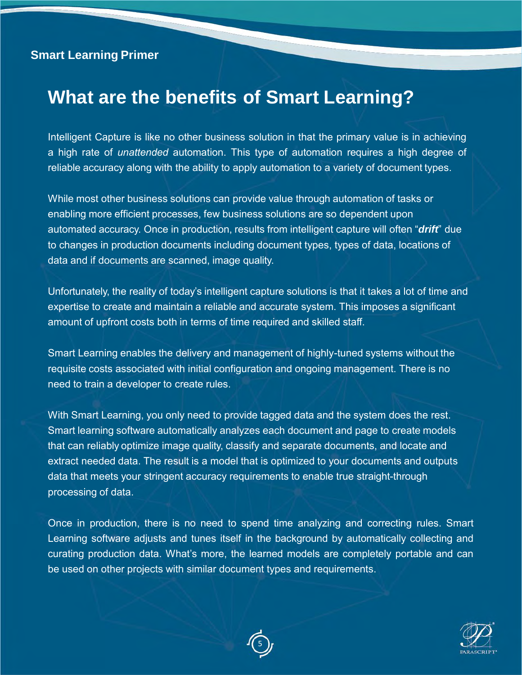### **What are the benefits of Smart Learning?**

Intelligent Capture is like no other business solution in that the primary value is in achieving a high rate of *unattended* automation. This type of automation requires a high degree of reliable accuracy along with the ability to apply automation to a variety of document types.

While most other business solutions can provide value through automation of tasks or enabling more efficient processes, few business solutions are so dependent upon automated accuracy. Once in production, results from intelligent capture will often "*drift*" due to changes in production documents including document types, types of data, locations of data and if documents are scanned, image quality.

Unfortunately, the reality of today's intelligent capture solutions is that it takes a lot of time and expertise to create and maintain a reliable and accurate system. This imposes a significant amount of upfront costs both in terms of time required and skilled staff.

Smart Learning enables the delivery and management of highly-tuned systems without the requisite costs associated with initial configuration and ongoing management. There is no need to train a developer to create rules.

With Smart Learning, you only need to provide tagged data and the system does the rest. Smart learning software automatically analyzes each document and page to create models that can reliably optimize image quality, classify and separate documents, and locate and extract needed data. The result is a model that is optimized to your documents and outputs data that meets your stringent accuracy requirements to enable true straight-through processing of data.

Once in production, there is no need to spend time analyzing and correcting rules. Smart Learning software adjusts and tunes itself in the background by automatically collecting and curating production data. What's more, the learned models are completely portable and can be used on other projects with similar document types and requirements.



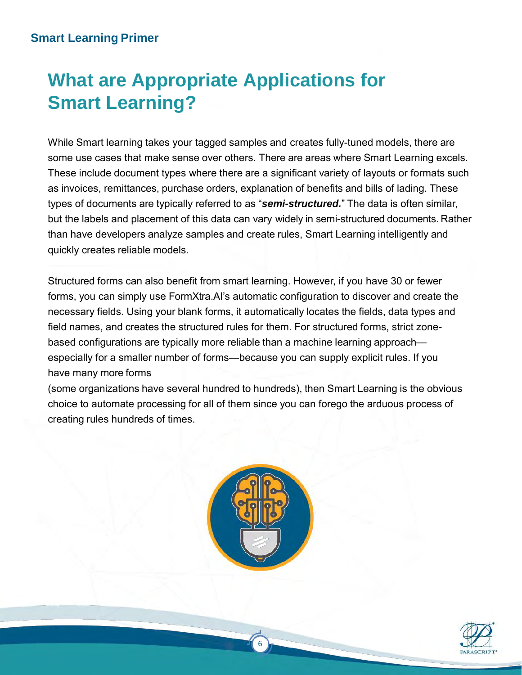# **What are Appropriate Applications for Smart Learning?**

While Smart learning takes your tagged samples and creates fully-tuned models, there are some use cases that make sense over others. There are areas where Smart Learning excels. These include document types where there are a significant variety of layouts or formats such as invoices, remittances, purchase orders, explanation of benefits and bills of lading. These types of documents are typically referred to as "*semi-structured.*" The data is often similar, but the labels and placement of this data can vary widely in semi-structured documents. Rather than have developers analyze samples and create rules, Smart Learning intelligently and quickly creates reliable models.

Structured forms can also benefit from smart learning. However, if you have 30 or fewer forms, you can simply use FormXtra.AI's automatic configuration to discover and create the necessary fields. Using your blank forms, it automatically locates the fields, data types and field names, and creates the structured rules for them. For structured forms, strict zonebased configurations are typically more reliable than a machine learning approach especially for a smaller number of forms—because you can supply explicit rules. If you have many more forms

(some organizations have several hundred to hundreds), then Smart Learning is the obvious choice to automate processing for all of them since you can forego the arduous process of creating rules hundreds of times.



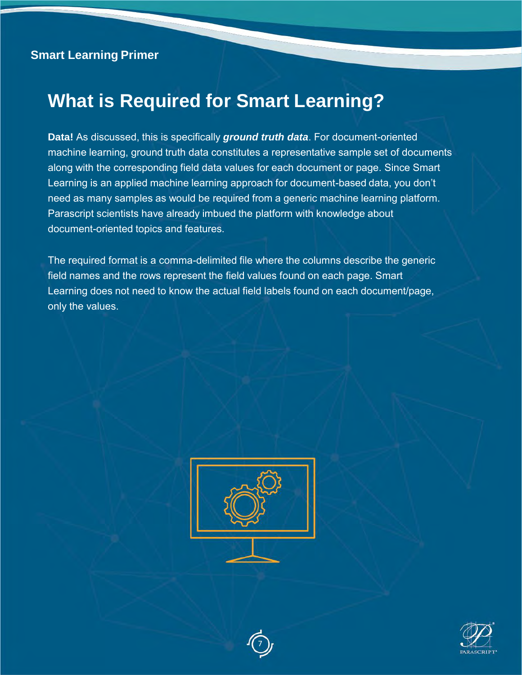### **What is Required for Smart Learning?**

**Data!** As discussed, this is specifically *ground truth data*. For document-oriented machine learning, ground truth data constitutes a representative sample set of documents along with the corresponding field data values for each document or page. Since Smart Learning is an applied machine learning approach for document-based data, you don't need as many samples as would be required from a generic machine learning platform. Parascript scientists have already imbued the platform with knowledge about document-oriented topics and features.

The required format is a comma-delimited file where the columns describe the generic field names and the rows represent the field values found on each page. Smart Learning does not need to know the actual field labels found on each document/page, only the values.





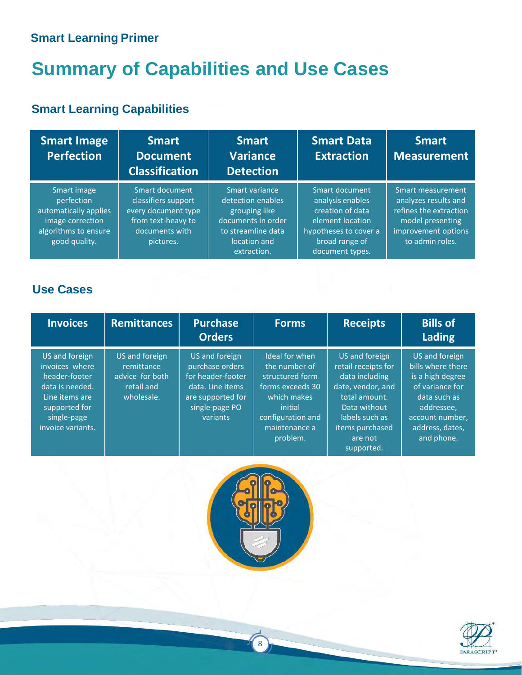# **Summary of Capabilities and Use Cases**

### **Smart Learning Capabilities**

| <b>Smart Image</b><br><b>Perfection</b>                                                                         | <b>Smart</b><br><b>Document</b><br><b>Classification</b>                                                          | <b>Smart</b><br><b>Variance</b><br><b>Detection</b>                                                                             | Smart Data<br><b>Extraction</b>                                                                                                          | <b>Smart</b><br><b>Measurement</b>                                                                                                |
|-----------------------------------------------------------------------------------------------------------------|-------------------------------------------------------------------------------------------------------------------|---------------------------------------------------------------------------------------------------------------------------------|------------------------------------------------------------------------------------------------------------------------------------------|-----------------------------------------------------------------------------------------------------------------------------------|
| Smart image<br>perfection<br>automatically applies<br>image correction<br>algorithms to ensure<br>good quality. | Smart document<br>classifiers support<br>every document type<br>from text-heavy to<br>documents with<br>pictures. | Smart variance<br>detection enables<br>grouping like<br>documents in order<br>to streamline data<br>location and<br>extraction. | Smart document<br>analysis enables<br>creation of data<br>element location<br>hypotheses to cover a<br>broad range of<br>document types. | Smart measurement<br>analyzes results and<br>refines the extraction<br>model presenting<br>improvement options<br>to admin roles. |

#### **Use Cases**

| <b>Invoices</b>                                                                                                                             | <b>Remittances</b>                                                          | <b>Purchase</b><br><b>Orders</b>                                                                                              | <b>Forms</b>                                                                                                                                       | <b>Receipts</b>                                                                                                                                                             | <b>Bills of</b><br>Lading                                                                                                                                    |
|---------------------------------------------------------------------------------------------------------------------------------------------|-----------------------------------------------------------------------------|-------------------------------------------------------------------------------------------------------------------------------|----------------------------------------------------------------------------------------------------------------------------------------------------|-----------------------------------------------------------------------------------------------------------------------------------------------------------------------------|--------------------------------------------------------------------------------------------------------------------------------------------------------------|
| US and foreign<br>invoices where<br>header-footer<br>data is needed.<br>Line items are<br>supported for<br>single-page<br>invoice variants. | US and foreign<br>remittance<br>advice for both<br>retail and<br>wholesale. | US and foreign<br>purchase orders<br>for header-footer<br>data. Line items<br>are supported for<br>single-page PO<br>variants | Ideal for when<br>the number of<br>structured form<br>forms exceeds 30<br>which makes<br>initial<br>configuration and<br>maintenance a<br>problem. | US and foreign<br>retail receipts for<br>data including<br>date, vendor, and<br>total amount.<br>Data without<br>labels such as<br>items purchased<br>are not<br>supported. | US and foreign<br>bills where there<br>is a high degree<br>of variance for<br>data such as<br>addressee,<br>account number,<br>address, dates,<br>and phone. |